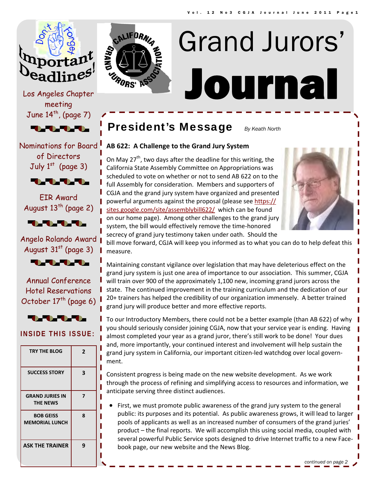

Los Angeles Chapter meeting June  $14^{th}$ , (page 7)

**TANA AMERICAN PROPERTY** 

Nominations for Board of Directors July  $1<sup>st</sup>$  (page 3)



EIR Award August  $13^{th}$  (page 2)



Angelo Rolando Award August  $31<sup>st</sup>$  (page 3)



Annual Conference Hotel Reservations October  $17<sup>th</sup>$  (page 6)



## **INSIDE THIS ISSUE:**

| <b>TRY THE BLOG</b>                       | 2 |
|-------------------------------------------|---|
| <b>SUCCESS STORY</b>                      | 3 |
| <b>GRAND JURIES IN</b><br><b>THE NEWS</b> | 7 |
| <b>BOB GEISS</b><br><b>MEMORIAL LUNCH</b> | 8 |
| <b>ASK THE TRAINER</b>                    | 9 |



# Journal Grand Jurors'

## President's Message *By Keath North*

## **AB 622: A Challenge to the Grand Jury System**

On May  $27<sup>th</sup>$ , two days after the deadline for this writing, the California State Assembly Committee on Appropriations was scheduled to vote on whether or not to send AB 622 on to the full Assembly for consideration. Members and supporters of CGJA and the grand jury system have organized and presented powerful arguments against the proposal (please see https:// sites.google.com/site/assemblybill622/ which can be found on our home page). Among other challenges to the grand jury system, the bill would effectively remove the time‐honored secrecy of grand jury testimony taken under oath. Should the



bill move forward, CGJA will keep you informed as to what you can do to help defeat this measure.

Maintaining constant vigilance over legislation that may have deleterious effect on the grand jury system is just one area of importance to our association. This summer, CGJA will train over 900 of the approximately 1,100 new, incoming grand jurors across the state. The continued improvement in the training curriculum and the dedication of our 20+ trainers has helped the credibility of our organization immensely. A better trained grand jury will produce better and more effective reports.

To our Introductory Members, there could not be a better example (than AB 622) of why you should seriously consider joining CGJA, now that your service year is ending. Having almost completed your year as a grand juror, there's still work to be done! Your dues and, more importantly, your continued interest and involvement will help sustain the grand jury system in California, our important citizen‐led watchdog over local govern‐ ment.

Consistent progress is being made on the new website development. As we work through the process of refining and simplifying access to resources and information, we anticipate serving three distinct audiences.

• First, we must promote public awareness of the grand jury system to the general public: its purposes and its potential. As public awareness grows, it will lead to larger pools of applicants as well as an increased number of consumers of the grand juries' product – the final reports. We will accomplish this using social media, coupled with several powerful Public Service spots designed to drive Internet traffic to a new Facebook page, our new website and the News Blog.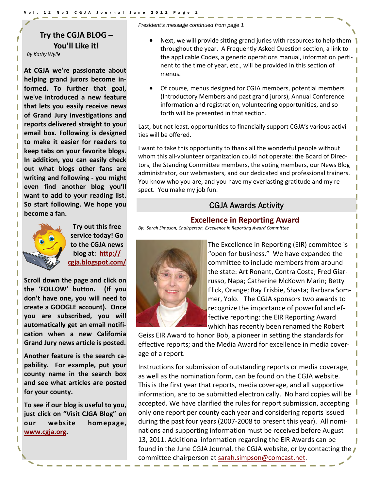#### 12 No3 CGJA Journal June 2011

## **Try the CGJA BLOG – You'll Like it!**

*By Kathy Wylie*

**At CGJA we're passionate about helping grand jurors become in‐ formed. To further that goal, we've introduced a new feature that lets you easily receive news of Grand Jury investigations and reports delivered straight to your email box. Following is designed to make it easier for readers to keep tabs on your favorite blogs. In addition, you can easily check out what blogs other fans are writing and following ‐ you might even find another blog you'll want to add to your reading list. So start following. We hope you become a fan.**



**Try out this free service today! Go to the CGJA news blog at: http:// cgja.blogspot.com/**

**Scroll down the page and click on the 'FOLLOW' button. (If you don't have one, you will need to create a GOOGLE account). Once you are subscribed, you will automatically get an email notifi‐ cation when a new California Grand Jury news article is posted.**

**Another feature is the search ca‐ pability. For example, put your county name in the search box and see what articles are posted for your county.**

**To see if our blog is useful to you, just click on "Visit CJGA Blog" on our website homepage, www.cgja.org.**

*President's message continued from page 1* 

- Next, we will provide sitting grand juries with resources to help them throughout the year. A Frequently Asked Question section, a link to the applicable Codes, a generic operations manual, information perti‐ nent to the time of year, etc., will be provided in this section of menus.
- Of course, menus designed for CGJA members, potential members (Introductory Members and past grand jurors), Annual Conference information and registration, volunteering opportunities, and so forth will be presented in that section.

Last, but not least, opportunities to financially support CGJA's various activities will be offered.

I want to take this opportunity to thank all the wonderful people without whom this all-volunteer organization could not operate: the Board of Directors, the Standing Committee members, the voting members, our News Blog administrator, our webmasters, and our dedicated and professional trainers. You know who you are, and you have my everlasting gratitude and my re‐ spect. You make my job fun.

## CGJA Awards Activity

## **Excellence in Reporting Award**

*By: Sarah Simpson, Chairperson, Excellence in Reporting Award Committee*



The Excellence in Reporting (EIR) committee is "open for business." We have expanded the committee to include members from around the state: Art Ronant, Contra Costa; Fred Giar‐ russo, Napa; Catherine McKown Marin; Betty Flick, Orange; Ray Frisbie, Shasta; Barbara Som‐ mer, Yolo. The CGJA sponsors two awards to recognize the importance of powerful and ef‐ fective reporting: the EIR Reporting Award which has recently been renamed the Robert

Geiss EIR Award to honor Bob, a pioneer in setting the standards for effective reports; and the Media Award for excellence in media cover‐ age of a report.

Instructions for submission of outstanding reports or media coverage, as well as the nomination form, can be found on the CGJA website. This is the first year that reports, media coverage, and all supportive information, are to be submitted electronically. No hard copies will be accepted. We have clarified the rules for report submission, accepting only one report per county each year and considering reports issued during the past four years (2007‐2008 to present this year). All nomi‐ nations and supporting information must be received before August 13, 2011. Additional information regarding the EIR Awards can be found in the June CGJA Journal, the CGJA website, or by contacting the committee chairperson at sarah.simpson@comcast.net.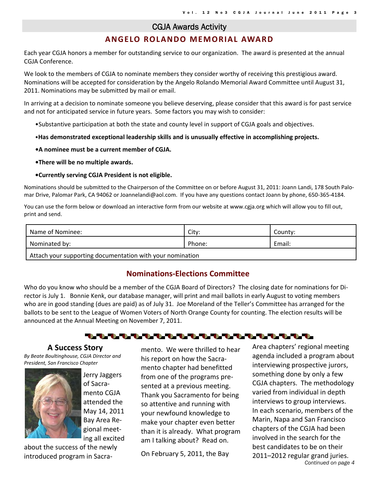#### CGJA Awards Activity

## **ANGELO ROLANDO MEMORIAL AWARD**

Each year CGJA honors a member for outstanding service to our organization. The award is presented at the annual CGJA Conference.

We look to the members of CGJA to nominate members they consider worthy of receiving this prestigious award. Nominations will be accepted for consideration by the Angelo Rolando Memorial Award Committee until August 31, 2011. Nominations may be submitted by mail or email.

In arriving at a decision to nominate someone you believe deserving, please consider that this award is for past service and not for anticipated service in future years. Some factors you may wish to consider:

- •Substantive participation at both the state and county level in support of CGJA goals and objectives.
- •**Has demonstrated exceptional leadership skills and is unusually effective in accomplishing projects.**
- **•A nominee must be a current member of CGJA.**
- **•There will be no multiple awards.**
- **•Currently serving CGJA President is not eligible.**

Nominations should be submitted to the Chairperson of the Committee on or before August 31, 2011: Joann Landi, 178 South Palo‐ mar Drive, Palomar Park, CA 94062 or Joannelandi@aol.com. If you have any questions contact Joann by phone, 650‐365‐4184.

You can use the form below or download an interactive form from our website at www.cgja.org which will allow you to fill out, print and send.

| Name of Nominee:                                                      | City:  | County: |  |
|-----------------------------------------------------------------------|--------|---------|--|
| Nominated by:                                                         | Phone: | Email:  |  |
| $\mathsf I$ Attach vour supporting documentation with your pomination |        |         |  |

Attach your supporting documentation with your nomination

## **Nominations‐Elections Committee**

Who do you know who should be a member of the CGJA Board of Directors? The closing date for nominations for Di‐ rector is July 1. Bonnie Kenk, our database manager, will print and mail ballots in early August to voting members who are in good standing (dues are paid) as of July 31. Joe Moreland of the Teller's Committee has arranged for the ballots to be sent to the League of Women Voters of North Orange County for counting. The election results will be announced at the Annual Meeting on November 7, 2011.

### **A Success Story**

*By Beate Boultinghouse, CGJA Director and President, San Francisco Chapter*



Jerry Jaggers of Sacra‐ mento CGJA attended the May 14, 2011 Bay Area Re‐ gional meet‐ ing all excited

about the success of the newly introduced program in Sacra‐

mento. We were thrilled to hear his report on how the Sacra‐ mento chapter had benefitted from one of the programs pre‐ sented at a previous meeting. Thank you Sacramento for being so attentive and running with your newfound knowledge to make your chapter even better than it is already. What program am I talking about? Read on.

On February 5, 2011, the Bay

*Continued on page 4*  Area chapters' regional meeting agenda included a program about interviewing prospective jurors, something done by only a few CGJA chapters. The methodology varied from individual in depth interviews to group interviews. In each scenario, members of the Marin, Napa and San Francisco chapters of the CGJA had been involved in the search for the best candidates to be on their 2011–2012 regular grand juries.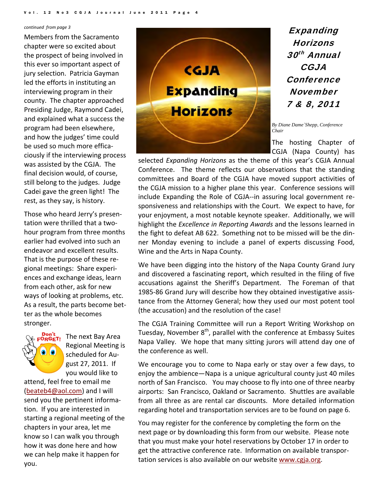*continued from page 3*

Members from the Sacramento chapter were so excited about the prospect of being involved in this ever so important aspect of jury selection. Patricia Gayman led the efforts in instituting an interviewing program in their county. The chapter approached Presiding Judge, Raymond Cadei, and explained what a success the program had been elsewhere, and how the judges' time could be used so much more effica‐ ciously if the interviewing process was assisted by the CGJA. The final decision would, of course, still belong to the judges. Judge Cadei gave the green light! The rest, as they say, is history.

Those who heard Jerry's presen‐ tation were thrilled that a two‐ hour program from three months earlier had evolved into such an endeavor and excellent results. That is the purpose of these re‐ gional meetings: Share experi‐ ences and exchange ideas, learn from each other, ask for new ways of looking at problems, etc. As a result, the parts become bet‐ ter as the whole becomes stronger.



The next Bay Area Regional Meeting is scheduled for Au‐ gust 27, 2011. If you would like to

attend, feel free to email me (beateb4@aol.com) and I will send you the pertinent informa‐ tion. If you are interested in starting a regional meeting of the chapters in your area, let me know so I can walk you through how it was done here and how we can help make it happen for you.



**Expanding** Horizons 30<sup>th</sup> Annual CGJA **Conference** November 7 & 8, 2011

*By Diane Dame´Shepp, Conference Chair* 

The hosting Chapter of CGJA (Napa County) has

selected *Expanding Horizons* as the theme of this year's CGJA Annual Conference. The theme reflects our observations that the standing committees and Board of the CGJA have moved support activities of the CGJA mission to a higher plane this year. Conference sessions will include Expanding the Role of CGJA‐‐in assuring local government re‐ sponsiveness and relationships with the Court. We expect to have, for your enjoyment, a most notable keynote speaker. Additionally, we will highlight the *Excellence in Reporting Awards* and the lessons learned in the fight to defeat AB 622. Something not to be missed will be the din‐ ner Monday evening to include a panel of experts discussing Food, Wine and the Arts in Napa County.

We have been digging into the history of the Napa County Grand Jury and discovered a fascinating report, which resulted in the filing of five accusations against the Sheriff's Department. The Foreman of that 1985‐86 Grand Jury will describe how they obtained investigative assis‐ tance from the Attorney General; how they used our most potent tool (the accusation) and the resolution of the case!

The CGJA Training Committee will run a Report Writing Workshop on Tuesday, November 8<sup>th</sup>, parallel with the conference at Embassy Suites Napa Valley. We hope that many sitting jurors will attend day one of the conference as well.

We encourage you to come to Napa early or stay over a few days, to enjoy the ambience—Napa is a unique agricultural county just 40 miles north of San Francisco. You may choose to fly into one of three nearby airports: San Francisco, Oakland or Sacramento. Shuttles are available from all three as are rental car discounts. More detailed information regarding hotel and transportation services are to be found on page 6.

You may register for the conference by completing the form on the next page or by downloading this form from our website. Please note that you must make your hotel reservations by October 17 in order to get the attractive conference rate. Information on available transpor‐ tation services is also available on our website www.cgja.org.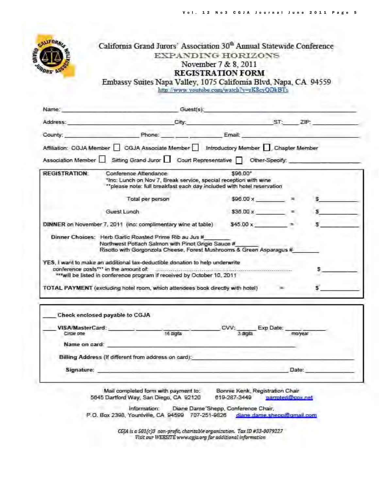

## California Grand Jurors' Association 30<sup>th</sup> Annual Statewide Conference **EXPANDING HORIZONS** November 7 & 8, 2011 **REGISTRATION FORM**

Embassy Suites Napa Valley, 1075 California Blvd, Napa, CA 94559 http://www.youtube.com/watch?v=rK8cyQDkBTs

| Address:                       | City:<br>and the control of the control of the control of the                                                                                                                                    | ST: ZIP:                   |                   |
|--------------------------------|--------------------------------------------------------------------------------------------------------------------------------------------------------------------------------------------------|----------------------------|-------------------|
| County:                        | Phone: Phone: Email:                                                                                                                                                                             |                            |                   |
|                                | Affiliation: CGJA Member   CGJA Associate Member   Introductory Member   Chapter Member                                                                                                          |                            |                   |
|                                | Association Member Sitting Grand Juror Gourt Representative Cother-Specify:                                                                                                                      |                            |                   |
| <b>REGISTRATION:</b>           | Conference Attendance<br>"Inc: Lunch on Nov 7, Break service, special reception with wine<br>"please note: full breakfast each day included with hotel reservation                               | \$96.00*                   |                   |
|                                | Total per person                                                                                                                                                                                 | $$96.00 \times$            |                   |
|                                | Guest Lunch                                                                                                                                                                                      |                            | $$36.00 \times$ = |
|                                | DINNER on November 7, 2011 (inc: complimentary wine at table)                                                                                                                                    | $$45.00 \times 10^{-1}$    |                   |
|                                | Dinner Choices: Herb Garlic Roasted Prime Rib au Jus #<br>Northwest Potlach Salmon with Pinot Grigio Sauce #<br>Risotto with Gorgonzola Cheese, Forest Mushrooms & Green Asparagus #             |                            |                   |
|                                | YES, I want to make an additional tax-deductible donation to help underwrite<br>conference costs"" in the amount of:<br>*** will be listed in conference program if received by October 10, 2011 | $\color{blue}{\bullet}$    |                   |
|                                | TOTAL PAYMENT (excluding hotel room, which attendees book directly with hotel)                                                                                                                   |                            |                   |
|                                | Check enclosed payable to CGJA                                                                                                                                                                   |                            |                   |
|                                |                                                                                                                                                                                                  |                            |                   |
|                                |                                                                                                                                                                                                  | CVV: Exp Date:<br>3 digits | mo/year           |
| VISA/MasterCard:<br>Circle one | 16 digits                                                                                                                                                                                        |                            |                   |

Signature:

Mail completed form with payment to: 5645 Dartford Way, San Diego, CA 92120

Bonnie Kenk, Registration Chair 619-287-3449 parroted@cox.net

Date:

Diane Dame 'Shepp, Conference Chair, Information: P.O. Box 2398, Yountville, CA 94599 707-251-9826 diane dame sheop@gmail.com

> CGJA is a 501(c)3 non-profit, charitable organization. Tax ID #33-0079227 Visit our WEBSITE www.cgja.org for additional information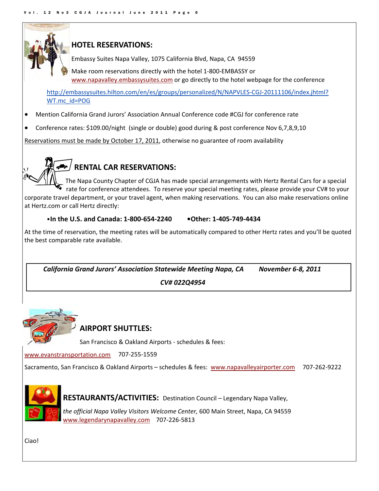

## **HOTEL RESERVATIONS:**

Embassy Suites Napa Valley, 1075 California Blvd, Napa, CA 94559

Make room reservations directly with the hotel 1‐800‐EMBASSY or www.napavalley.embassysuites.com or go directly to the hotel webpage for the conference

http://embassysuites.hilton.com/en/es/groups/personalized/N/NAPVLES-CGJ-20111106/index.jhtml? WT.mc\_id=POG

- Mention California Grand Jurors' Association Annual Conference code #CGJ for conference rate
- Conference rates: \$109.00/night (single or double) good during & post conference Nov 6,7,8,9,10

Reservations must be made by October 17, 2011, otherwise no guarantee of room availability



## **RENTAL CAR RESERVATIONS:**

The Napa County Chapter of CGJA has made special arrangements with Hertz Rental Cars for a special rate for conference attendees. To reserve your special meeting rates, please provide your CV# to your corporate travel department, or your travel agent, when making reservations. You can also make reservations online at Hertz.com or call Hertz directly:

## •**In the U.S. and Canada: 1‐800‐654‐2240 •Other: 1‐405‐749‐4434**

At the time of reservation, the meeting rates will be automatically compared to other Hertz rates and you'll be quoted the best comparable rate available.

 *California Grand Jurors' Association Statewide Meeting Napa, CA November 6‐8, 2011*

 *CV# 022Q4954*



## **AIRPORT SHUTTLES:**

San Francisco & Oakland Airports ‐ schedules & fees:

www.evanstransportation.com 707‐255‐1559

Sacramento, San Francisco & Oakland Airports – schedules & fees: www.napavalleyairporter.com 707-262-9222



RESTAURANTS/ACTIVITIES: Destination Council – Legendary Napa Valley,

*the official Napa Valley Visitors Welcome Center,* 600 Main Street, Napa, CA 94559 www.legendarynapavalley.com 707‐226‐5813

Ciao!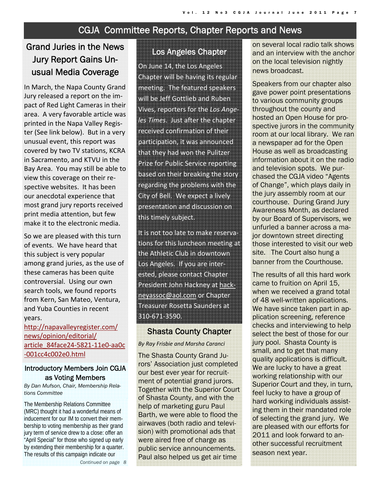## CGJA Committee Reports, Chapter Reports and News

## Grand Juries in the News Jury Report Gains Unusual Media Coverage

In March, the Napa County Grand Jury released a report on the im‐ pact of Red Light Cameras in their area. A very favorable article was printed in the Napa Valley Regis‐ ter (See link below). But in a very unusual event, this report was covered by two TV stations, KCRA in Sacramento, and KTVU in the Bay Area. You may still be able to view this coverage on their re‐ spective websites. It has been our anecdotal experience that most grand jury reports received print media attention, but few make it to the electronic media.

So we are pleased with this turn of events. We have heard that this subject is very popular among grand juries, as the use of these cameras has been quite controversial. Using our own search tools, we found reports from Kern, San Mateo, Ventura, and Yuba Counties in recent years.

http://napavalleyregister.com/ news/opinion/editorial/ article\_84face24‐5821‐11e0‐aa0c ‐001cc4c002e0.html

## Introductory Members Join CGJA as Voting Members

*By Dan Mufson, Chair, Membership Relations Committee* 

The Membership Relations Committee (MRC) thought it had a wonderful means of inducement for our IM to convert their membership to voting membership as their grand jury term of service drew to a close: offer an "April Special" for those who signed up early by extending their membership for a quarter. The results of this campaign indicate our

*Continued on page 8* 

## Los Angeles Chapter

On June 14, the Los Angeles Chapter will be having its regular meeting. The featured speakers will be Jeff Gottlieb and Ruben Vives, reporters for the *Los Ange‐ les Times*. Just after the chapter received confirmation of their participation, it was announced that they had won the Pulitzer Prize for Public Service reporting based on their breaking the story regarding the problems with the City of Bell. We expect a lively presentation and discussion on this timely subject.

It is not too late to make reserva‐ tions for this luncheon meeting at the Athletic Club in downtown Los Angeles. If you are inter‐ ested, please contact Chapter President John Hackney at hackneyassoc@aol.com or Chapter Treasurer Rosetta Saunders at 310‐671‐3590.

## Shasta County Chapter

*By Ray Frisbie and Marsha Caranci*

The Shasta County Grand Jurors' Association just completed our best ever year for recruitment of potential grand jurors. Together with the Superior Court of Shasta County, and with the help of marketing guru Paul Barth, we were able to flood the airwaves (both radio and television) with promotional ads that were aired free of charge as public service announcements. Paul also helped us get air time

on several local radio talk shows and an interview with the anchor on the local television nightly news broadcast.

Speakers from our chapter also gave power point presentations to various community groups throughout the county and hosted an Open House for prospective jurors in the community room at our local library. We ran a newspaper ad for the Open House as well as broadcasting information about it on the radio and television spots. We purchased the CGJA video "Agents of Change", which plays daily in the jury assembly room at our courthouse. During Grand Jury Awareness Month, as declared by our Board of Supervisors, we unfurled a banner across a major downtown street directing those interested to visit our web site. The Court also hung a banner from the Courthouse.

The results of all this hard work came to fruition on April 15, when we received a grand total of 48 well-written applications. We have since taken part in application screening, reference checks and interviewing to help select the best of those for our jury pool. Shasta County is small, and to get that many quality applications is difficult. We are lucky to have a great working relationship with our Superior Court and they, in turn, feel lucky to have a group of hard working individuals assisting them in their mandated role of selecting the grand jury. We are pleased with our efforts for 2011 and look forward to another successful recruitment season next year.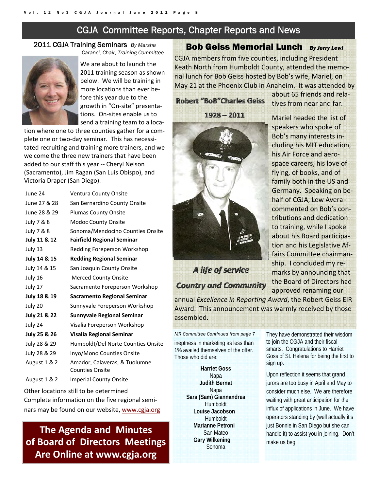## CGJA Committee Reports, Chapter Reports and News

#### 2011 CGJA Training Seminars *By Marsha Caranci, Chair, Training Committee*



We are about to launch the 2011 training season as shown below. We will be training in more locations than ever be‐ fore this year due to the growth in "On‐site" presenta‐ tions. On‐sites enable us to send a training team to a loca‐

tion where one to three counties gather for a com‐ plete one or two-day seminar. This has necessitated recruiting and training more trainers, and we welcome the three new trainers that have been added to our staff this year ‐‐ Cheryl Nelson (Sacramento), Jim Ragan (San Luis Obispo), and Victoria Draper (San Diego).

| June 24      | Ventura County Onsite                                   |
|--------------|---------------------------------------------------------|
| June 27 & 28 | San Bernardino County Onsite                            |
| June 28 & 29 | <b>Plumas County Onsite</b>                             |
| July 7 & 8   | Modoc County Onsite                                     |
| July 7 & 8   | Sonoma/Mendocino Counties Onsite                        |
| July 11 & 12 | <b>Fairfield Regional Seminar</b>                       |
| July 13      | Redding Foreperson Workshop                             |
| July 14 & 15 | <b>Redding Regional Seminar</b>                         |
| July 14 & 15 | San Joaquin County Onsite                               |
| July 16      | <b>Merced County Onsite</b>                             |
| July 17      | Sacramento Foreperson Workshop                          |
| July 18 & 19 | <b>Sacramento Regional Seminar</b>                      |
| July 20      | Sunnyvale Foreperson Workshop                           |
| July 21 & 22 | <b>Sunnyvale Regional Seminar</b>                       |
| July 24      | Visalia Foreperson Workshop                             |
| July 25 & 26 | <b>Visalia Regional Seminar</b>                         |
| July 28 & 29 | Humboldt/Del Norte Counties Onsite                      |
| July 28 & 29 | Inyo/Mono Counties Onsite                               |
| August 1 & 2 | Amador, Calaveras, & Tuolumne<br><b>Counties Onsite</b> |
| August 1 & 2 | <b>Imperial County Onsite</b>                           |

Other locations still to be determined Complete information on the five regional semi‐ nars may be found on our website, www.cgja.org

## **The Agenda and Minutes of Board of Directors Meetings Are Online at www.cgja.org**

## Bob Geiss Memorial Lunch *By Jerry Lewi*

CGJA members from five counties, including President Keath North from Humboldt County, attended the memo‐ rial lunch for Bob Geiss hosted by Bob's wife, Mariel, on May 21 at the Phoenix Club in Anaheim. It was attended by

## **Robert "BoB"Charles Geiss**

 $1928 - 2011$ 

## A life of service **Country and Community**

about 65 friends and rela‐ tives from near and far.

Mariel headed the list of speakers who spoke of Bob's many interests in‐ cluding his MIT education, his Air Force and aero‐ space careers, his love of flying, of books, and of family both in the US and Germany. Speaking on be‐ half of CGJA, Lew Avera commented on Bob's con‐ tributions and dedication to training, while I spoke about his Board participa‐ tion and his Legislative Af‐ fairs Committee chairman‐ ship. I concluded my re‐ marks by announcing that the Board of Directors had approved renaming our

annual *Excellence in Reporting Award*, the Robert Geiss EIR Award. This announcement was warmly received by those assembled.

*MR Committee Continued from page 7*  ineptness in marketing as less than 1% availed themselves of the offer. Those who did are:

> **Harriet Goss**  Napa **Judith Bernat**  Napa **Sara (Sam) Giannandrea**  Humboldt **Louise Jacobson** Humboldt **Marianne Petroni** San Mateo **Gary Wilkening** Sonoma

They have demonstrated their wisdom to join the CGJA and their fiscal smarts. Congratulations to Harriet Goss of St. Helena for being the first to sign up.

Upon reflection it seems that grand jurors are too busy in April and May to consider much else. We are therefore waiting with great anticipation for the influx of applications in June. We have operators standing by (well actually it's just Bonnie in San Diego but she can handle it) to assist you in joining. Don't make us beg.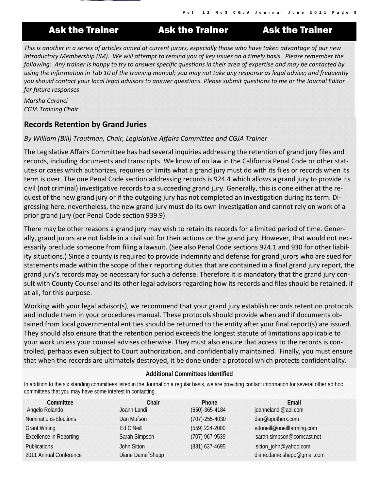

## Ask the Trainer **Ask the Trainer** Ask the Trainer

Vol. 12 No3 CGJA Journal June 2011 Pa

This is another in a series of articles aimed at current jurors, especially those who have taken advantage of our new Introductory Membership (IM). We will attempt to remind you of key issues on a timely basis. Please remember the following: Any trainer is happy to try to answer specific questions in their area of expertise and may be contacted by using the information in Tab 10 of the training manual; you may not take any response as legal advice; and frequently you should contact your local legal advisors to answer questions. Please submit questions to me or the Journal Editor *for future responses*

*Marsha Caranci CGJA Training Chair*

## **Records Retention by Grand Juries**

## *By William (Bill) Trautman, Chair, Legislative Affairs Committee and CGJA Trainer*

The Legislative Affairs Committee has had several inquiries addressing the retention of grand jury files and records, including documents and transcripts. We know of no law in the California Penal Code or other stat‐ utes or cases which authorizes, requires or limits what a grand jury must do with its files or records when its term is over. The one Penal Code section addressing records is 924.4 which allows a grand jury to provide its civil (not criminal) investigative records to a succeeding grand jury. Generally, this is done either at the re‐ quest of the new grand jury or if the outgoing jury has not completed an investigation during its term. Di‐ gressing here, nevertheless, the new grand jury must do its own investigation and cannot rely on work of a prior grand jury (per Penal Code section 939.9).

There may be other reasons a grand jury may wish to retain its records for a limited period of time. Gener‐ ally, grand jurors are not liable in a civil suit for their actions on the grand jury. However, that would not nec‐ essarily preclude someone from filing a lawsuit. (See also Penal Code sections 924.1 and 930 for other liabil‐ ity situations.) Since a county is required to provide indemnity and defense for grand jurors who are sued for statements made within the scope of their reporting duties that are contained in a final grand jury report, the grand jury's records may be necessary for such a defense. Therefore it is mandatory that the grand jury con‐ sult with County Counsel and its other legal advisors regarding how its records and files should be retained, if at all, for this purpose.

Working with your legal advisor(s), we recommend that your grand jury establish records retention protocols and include them in your procedures manual. These protocols should provide when and if documents ob‐ tained from local governmental entities should be returned to the entity after your final report(s) are issued. They should also ensure that the retention period exceeds the longest statute of limitations applicable to your work unless your counsel advises otherwise. They must also ensure that access to the records is con‐ trolled, perhaps even subject to Court authorization, and confidentially maintained. Finally, you must ensure that when the records are ultimately destroyed, it be done under a protocol which protects confidentiality.

## **Additional Committees Identified**

In addition to the six standing committees listed in the Journal on a regular basis, we are providing contact information for several other ad hoc committees that you may have some interest in contacting.

| Committee                      | Chair             | Phone                | Email                      |
|--------------------------------|-------------------|----------------------|----------------------------|
| Angelo Rolando                 | Joann Landi       | $(650) - 365 - 4184$ | joannelandi@aol.com        |
| Nominations-Elections          | Dan Mufson        | $(707) - 255 - 4030$ | dan@apotherx.com           |
| <b>Grant Writing</b>           | Ed O'Neill        | (559) 224-2000       | edoneill@oneillfarming.com |
| <b>Excellence in Reporting</b> | Sarah Simpson     | (707) 967-9539       | sarah.simpson@comcast.net  |
| <b>Publications</b>            | John Sitton       | (831) 637-4695       | sitton_john@yahoo.com      |
| 2011 Annual Conference         | Diane Dame' Shepp |                      | diane.dame.shepp@gmail.com |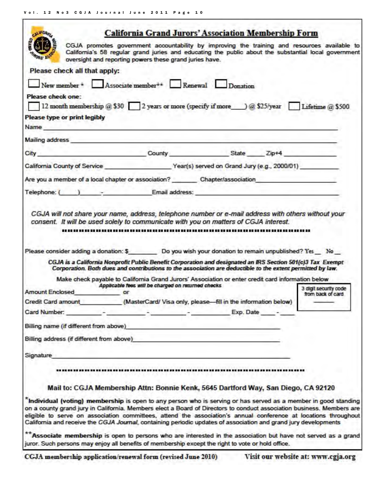T

| <b>ALLFORM</b>                                                                                                                                                                                                                 |                                                         | <b>California Grand Jurors' Association Membership Form</b>                                                                                                                                                                                                                                                                                                                                                                                                                    |                                            |
|--------------------------------------------------------------------------------------------------------------------------------------------------------------------------------------------------------------------------------|---------------------------------------------------------|--------------------------------------------------------------------------------------------------------------------------------------------------------------------------------------------------------------------------------------------------------------------------------------------------------------------------------------------------------------------------------------------------------------------------------------------------------------------------------|--------------------------------------------|
|                                                                                                                                                                                                                                | oversight and reporting powers these grand juries have. | CGJA promotes government accountability by improving the training and resources available to<br>California's 58 regular grand juries and educating the public about the substantial local government                                                                                                                                                                                                                                                                           |                                            |
| Please check all that apply:                                                                                                                                                                                                   |                                                         |                                                                                                                                                                                                                                                                                                                                                                                                                                                                                |                                            |
| New member * Associate member ** Renewal Donation                                                                                                                                                                              |                                                         |                                                                                                                                                                                                                                                                                                                                                                                                                                                                                |                                            |
| Please check one:                                                                                                                                                                                                              |                                                         |                                                                                                                                                                                                                                                                                                                                                                                                                                                                                |                                            |
|                                                                                                                                                                                                                                |                                                         | 12 month membership @ \$30 2 years or more (specify if more ___) @ \$25/year Lifetime @ \$500                                                                                                                                                                                                                                                                                                                                                                                  |                                            |
| Please type or print legibly                                                                                                                                                                                                   |                                                         |                                                                                                                                                                                                                                                                                                                                                                                                                                                                                |                                            |
| Name and the contract of the contract of the contract of the contract of the contract of the contract of the contract of the contract of the contract of the contract of the contract of the contract of the contract of the c |                                                         |                                                                                                                                                                                                                                                                                                                                                                                                                                                                                |                                            |
| Mailing address and the contract of the contract of the contract of the contract of the contract of the contract of the contract of the contract of the contract of the contract of the contract of the contract of the contra |                                                         |                                                                                                                                                                                                                                                                                                                                                                                                                                                                                |                                            |
| City                                                                                                                                                                                                                           |                                                         | County County State Zip+4                                                                                                                                                                                                                                                                                                                                                                                                                                                      |                                            |
|                                                                                                                                                                                                                                |                                                         |                                                                                                                                                                                                                                                                                                                                                                                                                                                                                |                                            |
|                                                                                                                                                                                                                                |                                                         | Are you a member of a local chapter or association? Chapter/association                                                                                                                                                                                                                                                                                                                                                                                                        |                                            |
|                                                                                                                                                                                                                                |                                                         | Telephone: ( ) - Email address:                                                                                                                                                                                                                                                                                                                                                                                                                                                |                                            |
|                                                                                                                                                                                                                                |                                                         |                                                                                                                                                                                                                                                                                                                                                                                                                                                                                |                                            |
|                                                                                                                                                                                                                                |                                                         | Please consider adding a donation: \$ Do you wish your donation to remain unpublished? Yes No<br>CGJA is a California Nonprofit Public Benefit Corporation and designated an IRS Section 501(c)3 Tax Exempt                                                                                                                                                                                                                                                                    |                                            |
|                                                                                                                                                                                                                                |                                                         | Corporation. Both dues and contributions to the association are deductible to the extent permitted by law.                                                                                                                                                                                                                                                                                                                                                                     |                                            |
|                                                                                                                                                                                                                                | Applicable fees will be charged on returned checks      | Make check payable to California Grand Jurors' Association or enter credit card information below                                                                                                                                                                                                                                                                                                                                                                              |                                            |
| <b>Amount Enclosed</b>                                                                                                                                                                                                         | or                                                      |                                                                                                                                                                                                                                                                                                                                                                                                                                                                                | 3 digit security code<br>from back of card |
|                                                                                                                                                                                                                                |                                                         | Credit Card amount____________(MasterCard/ Visa only, please-fill in the information below)                                                                                                                                                                                                                                                                                                                                                                                    |                                            |
| Card Number:                                                                                                                                                                                                                   | the state of the state of the state of the state of     | Exp. Date -                                                                                                                                                                                                                                                                                                                                                                                                                                                                    |                                            |
| Billing name (if different from above)                                                                                                                                                                                         |                                                         |                                                                                                                                                                                                                                                                                                                                                                                                                                                                                |                                            |
| Billing address (if different from above)                                                                                                                                                                                      |                                                         |                                                                                                                                                                                                                                                                                                                                                                                                                                                                                |                                            |
| Signature                                                                                                                                                                                                                      |                                                         |                                                                                                                                                                                                                                                                                                                                                                                                                                                                                |                                            |
|                                                                                                                                                                                                                                |                                                         |                                                                                                                                                                                                                                                                                                                                                                                                                                                                                |                                            |
|                                                                                                                                                                                                                                |                                                         |                                                                                                                                                                                                                                                                                                                                                                                                                                                                                |                                            |
|                                                                                                                                                                                                                                |                                                         | Mail to: CGJA Membership Attn: Bonnie Kenk, 5645 Dartford Way, San Diego, CA 92120                                                                                                                                                                                                                                                                                                                                                                                             |                                            |
|                                                                                                                                                                                                                                |                                                         | *Individual (voting) membership is open to any person who is serving or has served as a member in good standing<br>on a county grand jury in California. Members elect a Board of Directors to conduct association business. Members are<br>eligible to serve on association committees, attend the association's annual conference at locations throughout<br>California and receive the CGJA Journal, containing periodic updates of association and grand jury developments |                                            |
| juror. Such persons may enjoy all benefits of membership except the right to vote or hold office.                                                                                                                              |                                                         | ** Associate membership is open to persons who are interested in the association but have not served as a grand                                                                                                                                                                                                                                                                                                                                                                |                                            |

CGJA membership application/renewal form (revised June 2010) Visit our website at: www.cgja.org

٦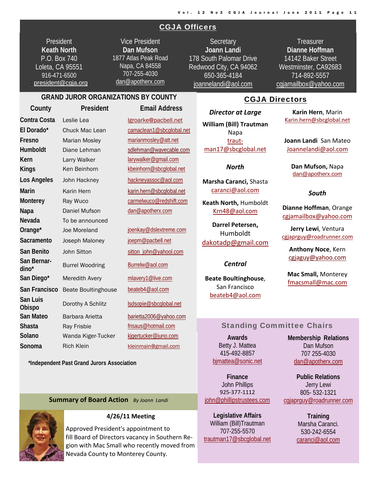## CGJA Officers

**President Keath North**  P.O. Box 740 Loleta, CA 95551 916-471-6500 : president@cgja.org

Vice President **Dan Mufson** 1877 Atlas Peak Road Napa, CA 84558 707-255-4030 dan@apotherx.com

**Secretary Joann Landi** 178 South Palomar Drive Redwood City, CA 94062 650-365-4184 joannelandi@aol.com

**Treasurer Dianne Hoffman**  14142 Baker Street Westminster, CA92683 714-892-5557 cgjamailbox@yahoo.com

## **GRAND JUROR ORGANIZATIONS BY COUNTY**

| Igroarke@pacbell.net     |
|--------------------------|
|                          |
| camaclean1@sbcglobal.net |
| marianmosley@att.net     |
| sdlehman@wavecable.com   |
| larywalker@gmail.com     |
| kbeinhorn@sbcglobal.net  |
| hackneyassoc@aol.com     |
| karin.hern@sbcglobal.net |
| carmelwuco@redshift.com  |
| dan@apotherx.com         |
|                          |
| joenkay@dslextreme.com   |
| joepm@pacbell.net        |
| sitton_john@yahool.com   |
| Burrelw@aol.com          |
| mlavery1@live.com        |
| beateb4@aol.com          |
| Isdsopie@sbcglobal.net   |
| barietta2006@yahoo.com   |
| frisaus@hotmail.com      |
| kjgertucker@juno.com     |
|                          |
|                          |

 **\*Independent Past Grand Jurors Association**

#### **Summary of Board Action** *By Joann Landi*



## **4/26/11 Meeting**

Approved President's appointment to fill Board of Directors vacancy in Southern Re‐ gion with Mac Small who recently moved from Nevada County to Monterey County.

## CGJA Directors

*Director at Large* **William (Bill) Trautman** Napa traut‐ man17@sbcglobal.net

*North*

**Marsha Caranci,** Shasta caranci@aol.com

**Keath North,** Humboldt Krn48@aol.com

**Darrel Petersen,** Humboldt dakotadp@gmail.com

#### *Central*

**Beate Boultinghouse**, San Francisco beateb4@aol.com

**Karin Hern**, Marin Karin.hern@sbcglobal.net

**Joann Landi** San Mateo Joannelandi@aol.com

**Dan Mufson,** Napa dan@apotherx.com

#### *South*

**Dianne Hoffman**, Orange cgjamailbox@yahoo.com

**Jerry Lewi**, Ventura cgjaprguy@roadrunner.com

**Anthony Noce**, Kern cgjaguy@yahoo.com

**Mac Small,** Monterey fmacsmall@mac.com

## Standing Committee Chairs

**Awards**  Betty J. Mattea 415-492-8857 bjmattea@sonic.net

**Finance**  John Phillips 925‐377‐1112 john@phillipstrustees.com

**Legislative Affairs**  William (Bill)Trautman 707-255-5570 trautman17@sbcglobal.net **Membership Relations**  Dan Mufson 707 255-4030 dan@apotherx.com

**Public Relations**  Jerry Lewi 805- 532-1321 cgjaprguy@roadrunner.com

> **Training**  Marsha Caranci. 530-242-6554 caranci@aol.com